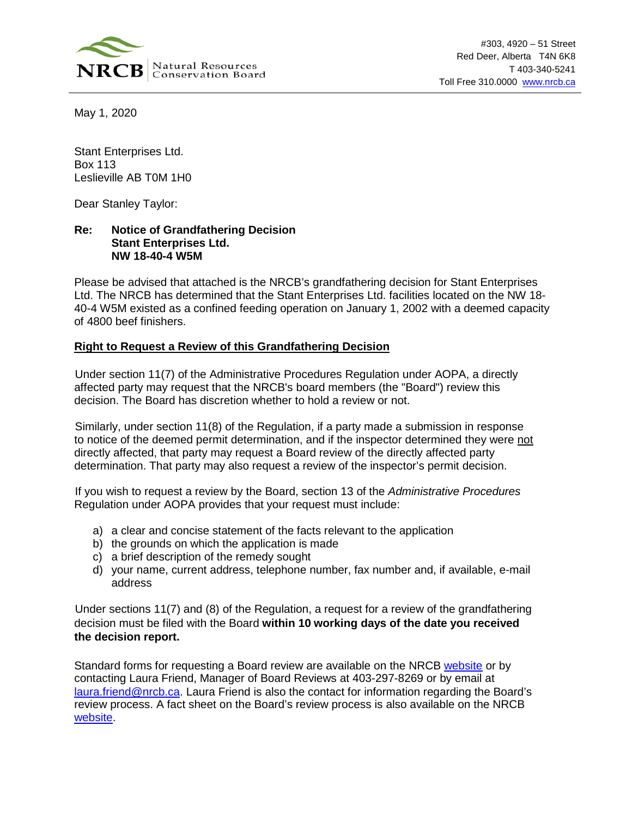

May 1, 2020

Stant Enterprises Ltd. Box 113 Leslieville AB T0M 1H0

Dear Stanley Taylor:

## **Re: Notice of Grandfathering Decision Stant Enterprises Ltd. NW 18-40-4 W5M**

Please be advised that attached is the NRCB's grandfathering decision for Stant Enterprises Ltd. The NRCB has determined that the Stant Enterprises Ltd. facilities located on the NW 18- 40-4 W5M existed as a confined feeding operation on January 1, 2002 with a deemed capacity of 4800 beef finishers.

## **Right to Request a Review of this Grandfathering Decision**

Under section 11(7) of the Administrative Procedures Regulation under AOPA, a directly affected party may request that the NRCB's board members (the "Board") review this decision. The Board has discretion whether to hold a review or not.

Similarly, under section 11(8) of the Regulation, if a party made a submission in response to notice of the deemed permit determination, and if the inspector determined they were not directly affected, that party may request a Board review of the directly affected party determination. That party may also request a review of the inspector's permit decision.

If you wish to request a review by the Board, section 13 of the *Administrative Procedures*  Regulation under AOPA provides that your request must include:

- a) a clear and concise statement of the facts relevant to the application
- b) the grounds on which the application is made
- c) a brief description of the remedy sought
- d) your name, current address, telephone number, fax number and, if available, e-mail address

Under sections 11(7) and (8) of the Regulation, a request for a review of the grandfathering decision must be filed with the Board **within 10 working days of the date you received the decision report.**

Standard forms for requesting a Board review are available on the NRCB [website](https://www.nrcb.ca/confined-feeding-operations/board-reviews-court-decisions-revamp/fact-sheets-and-forms) or by contacting Laura Friend, Manager of Board Reviews at 403-297-8269 or by email at [laura.friend@nrcb.ca.](mailto:laura.friend@nrcb.ca) Laura Friend is also the contact for information regarding the Board's review process. A fact sheet on the Board's review process is also available on the NRCB [website.](https://www.nrcb.ca/public/download/files/97583)